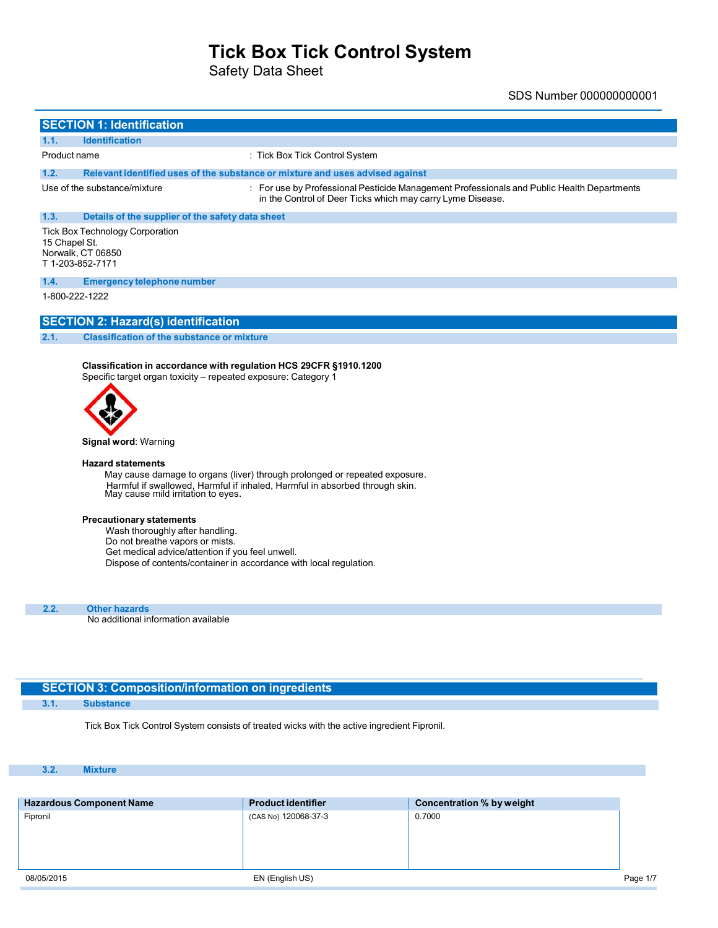Safety Data Sheet

SDS Number 000000000001

|                                                                                                 | <b>SECTION 1: Identification</b>                                                                                                    |                                                                                                                                                          |  |  |
|-------------------------------------------------------------------------------------------------|-------------------------------------------------------------------------------------------------------------------------------------|----------------------------------------------------------------------------------------------------------------------------------------------------------|--|--|
| 1.1.                                                                                            | <b>Identification</b>                                                                                                               |                                                                                                                                                          |  |  |
| Product name                                                                                    |                                                                                                                                     | : Tick Box Tick Control System                                                                                                                           |  |  |
| 1.2.                                                                                            |                                                                                                                                     | Relevant identified uses of the substance or mixture and uses advised against                                                                            |  |  |
|                                                                                                 | Use of the substance/mixture                                                                                                        | : For use by Professional Pesticide Management Professionals and Public Health Departments<br>in the Control of Deer Ticks which may carry Lyme Disease. |  |  |
| 1.3.                                                                                            | Details of the supplier of the safety data sheet                                                                                    |                                                                                                                                                          |  |  |
| <b>Tick Box Technology Corporation</b><br>15 Chapel St.<br>Norwalk, CT 06850<br>T1-203-852-7171 |                                                                                                                                     |                                                                                                                                                          |  |  |
| 1.4.                                                                                            | <b>Emergency telephone number</b>                                                                                                   |                                                                                                                                                          |  |  |
|                                                                                                 | 1-800-222-1222                                                                                                                      |                                                                                                                                                          |  |  |
|                                                                                                 | <b>SECTION 2: Hazard(s) identification</b>                                                                                          |                                                                                                                                                          |  |  |
| 2.1.                                                                                            | <b>Classification of the substance or mixture</b>                                                                                   |                                                                                                                                                          |  |  |
|                                                                                                 | Classification in accordance with regulation HCS 29CFR §1910.1200<br>Specific target organ toxicity - repeated exposure: Category 1 |                                                                                                                                                          |  |  |

**Signal word**: Warning

#### **Hazard statements**

May cause damage to organs (liver) through prolonged or repeated exposure. Harmful if swallowed, Harmful if inhaled, Harmful in absorbed through skin. May cause mild irritation to eyes.

#### **Precautionary statements**

Wash thoroughly after handling. Do not breathe vapors or mists. Get medical advice/attention if you feel unwell. Dispose of contents/container in accordance with local regulation.

**2.2. Other hazards** No additional information available

### **SECTION 3: Composition/information on ingredients**

**3.1. Substance**

Tick Box Tick Control System consists of treated wicks with the active ingredient Fipronil.

#### **3.2. Mixture**

| <b>Hazardous Component Name</b> | <b>Product identifier</b> | Concentration % by weight |          |
|---------------------------------|---------------------------|---------------------------|----------|
| Fipronil                        | (CAS No) 120068-37-3      | 0.7000                    |          |
|                                 |                           |                           |          |
|                                 |                           |                           |          |
|                                 |                           |                           |          |
| 08/05/2015                      | EN (English US)           |                           | Page 1/7 |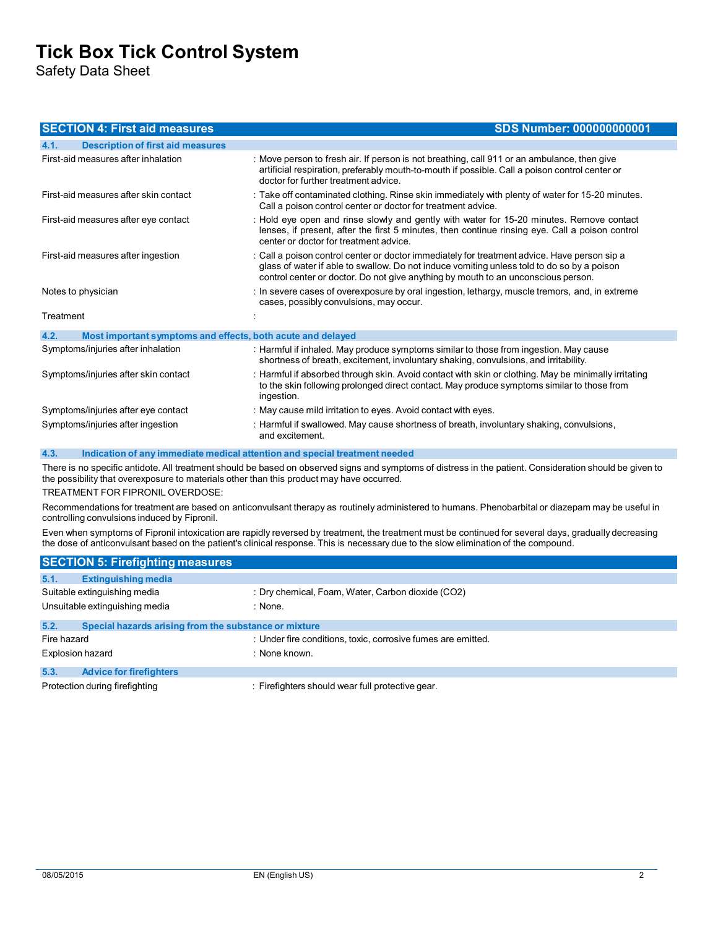Safety Data Sheet

| <b>SECTION 4: First aid measures</b>                                | <b>SDS Number: 000000000001</b>                                                                                                                                                                                                                                                 |
|---------------------------------------------------------------------|---------------------------------------------------------------------------------------------------------------------------------------------------------------------------------------------------------------------------------------------------------------------------------|
| 4.1.<br><b>Description of first aid measures</b>                    |                                                                                                                                                                                                                                                                                 |
| First-aid measures after inhalation                                 | : Move person to fresh air. If person is not breathing, call 911 or an ambulance, then give<br>artificial respiration, preferably mouth-to-mouth if possible. Call a poison control center or<br>doctor for further treatment advice.                                           |
| First-aid measures after skin contact                               | : Take off contaminated clothing. Rinse skin immediately with plenty of water for 15-20 minutes.<br>Call a poison control center or doctor for treatment advice.                                                                                                                |
| First-aid measures after eye contact                                | : Hold eye open and rinse slowly and gently with water for 15-20 minutes. Remove contact<br>lenses, if present, after the first 5 minutes, then continue rinsing eye. Call a poison control<br>center or doctor for treatment advice.                                           |
| First-aid measures after ingestion                                  | : Call a poison control center or doctor immediately for treatment advice. Have person sip a<br>glass of water if able to swallow. Do not induce vomiting unless told to do so by a poison<br>control center or doctor. Do not give anything by mouth to an unconscious person. |
| Notes to physician                                                  | : In severe cases of overexposure by oral ingestion, lethargy, muscle tremors, and, in extreme<br>cases, possibly convulsions, may occur.                                                                                                                                       |
| Treatment                                                           |                                                                                                                                                                                                                                                                                 |
| 4.2.<br>Most important symptoms and effects, both acute and delayed |                                                                                                                                                                                                                                                                                 |
| Symptoms/injuries after inhalation                                  | : Harmful if inhaled. May produce symptoms similar to those from ingestion. May cause<br>shortness of breath, excitement, involuntary shaking, convulsions, and irritability.                                                                                                   |
| Symptoms/injuries after skin contact                                | : Harmful if absorbed through skin. Avoid contact with skin or clothing. May be minimally irritating<br>to the skin following prolonged direct contact. May produce symptoms similar to those from<br>ingestion.                                                                |
| Symptoms/injuries after eye contact                                 | : May cause mild irritation to eyes. Avoid contact with eyes.                                                                                                                                                                                                                   |
| Symptoms/injuries after ingestion                                   | : Harmful if swallowed. May cause shortness of breath, involuntary shaking, convulsions,<br>and excitement.                                                                                                                                                                     |

**4.3. Indication of any immediate medical attention and special treatment needed**

There is no specific antidote. All treatment should be based on observed signs and symptoms of distress in the patient. Consideration should be given to the possibility that overexposure to materials other than this product may have occurred. TREATMENT FOR FIPRONIL OVERDOSE:

Recommendations for treatment are based on anticonvulsant therapy as routinely administered to humans. Phenobarbital or diazepam may be useful in controlling convulsions induced by Fipronil.

Even when symptoms of Fipronil intoxication are rapidly reversed by treatment, the treatment must be continued for several days, gradually decreasing the dose of anticonvulsant based on the patient's clinical response. This is necessary due to the slow elimination of the compound.

| <b>SECTION 5: Firefighting measures</b>                       |                                                              |  |  |
|---------------------------------------------------------------|--------------------------------------------------------------|--|--|
| 5.1.<br><b>Extinguishing media</b>                            |                                                              |  |  |
| Suitable extinguishing media                                  | : Dry chemical, Foam, Water, Carbon dioxide (CO2)            |  |  |
| Unsuitable extinguishing media                                | : None.                                                      |  |  |
| 5.2.<br>Special hazards arising from the substance or mixture |                                                              |  |  |
| Fire hazard                                                   | : Under fire conditions, toxic, corrosive fumes are emitted. |  |  |
| <b>Explosion hazard</b>                                       | : None known.                                                |  |  |
| 5.3.<br><b>Advice for firefighters</b>                        |                                                              |  |  |
| Protection during firefighting                                | : Firefighters should wear full protective gear.             |  |  |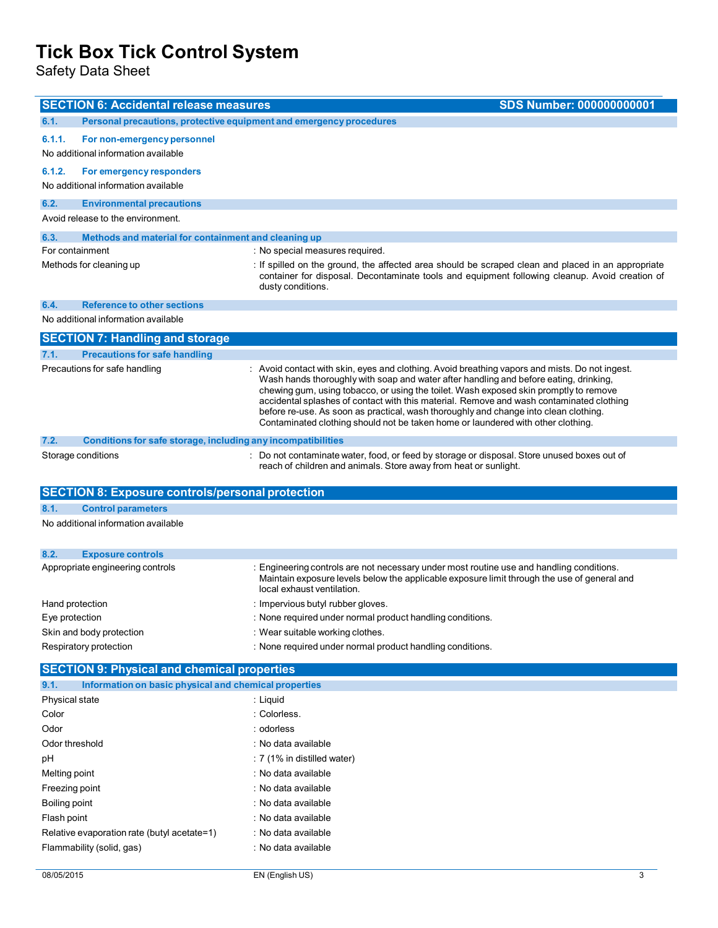Safety Data Sheet

L,

| <b>SECTION 6: Accidental release measures</b>                                | <b>SDS Number: 000000000001</b>                                                                                                                                                                                                                                                                                                                                                                                                                                                                                                                          |  |  |
|------------------------------------------------------------------------------|----------------------------------------------------------------------------------------------------------------------------------------------------------------------------------------------------------------------------------------------------------------------------------------------------------------------------------------------------------------------------------------------------------------------------------------------------------------------------------------------------------------------------------------------------------|--|--|
| Personal precautions, protective equipment and emergency procedures<br>6.1.  |                                                                                                                                                                                                                                                                                                                                                                                                                                                                                                                                                          |  |  |
| 6.1.1.<br>For non-emergency personnel<br>No additional information available |                                                                                                                                                                                                                                                                                                                                                                                                                                                                                                                                                          |  |  |
| 6.1.2.<br>For emergency responders<br>No additional information available    |                                                                                                                                                                                                                                                                                                                                                                                                                                                                                                                                                          |  |  |
| 6.2.<br><b>Environmental precautions</b>                                     |                                                                                                                                                                                                                                                                                                                                                                                                                                                                                                                                                          |  |  |
| Avoid release to the environment.                                            |                                                                                                                                                                                                                                                                                                                                                                                                                                                                                                                                                          |  |  |
| 6.3.<br>Methods and material for containment and cleaning up                 |                                                                                                                                                                                                                                                                                                                                                                                                                                                                                                                                                          |  |  |
| For containment                                                              | : No special measures required.                                                                                                                                                                                                                                                                                                                                                                                                                                                                                                                          |  |  |
| Methods for cleaning up                                                      | : If spilled on the ground, the affected area should be scraped clean and placed in an appropriate<br>container for disposal. Decontaminate tools and equipment following cleanup. Avoid creation of<br>dusty conditions.                                                                                                                                                                                                                                                                                                                                |  |  |
| <b>Reference to other sections</b><br>6.4.                                   |                                                                                                                                                                                                                                                                                                                                                                                                                                                                                                                                                          |  |  |
| No additional information available                                          |                                                                                                                                                                                                                                                                                                                                                                                                                                                                                                                                                          |  |  |
| <b>SECTION 7: Handling and storage</b>                                       |                                                                                                                                                                                                                                                                                                                                                                                                                                                                                                                                                          |  |  |
| <b>Precautions for safe handling</b><br>7.1.                                 |                                                                                                                                                                                                                                                                                                                                                                                                                                                                                                                                                          |  |  |
| Precautions for safe handling                                                | : Avoid contact with skin, eyes and clothing. Avoid breathing vapors and mists. Do not ingest.<br>Wash hands thoroughly with soap and water after handling and before eating, drinking,<br>chewing gum, using tobacco, or using the toilet. Wash exposed skin promptly to remove<br>accidental splashes of contact with this material. Remove and wash contaminated clothing<br>before re-use. As soon as practical, wash thoroughly and change into clean clothing.<br>Contaminated clothing should not be taken home or laundered with other clothing. |  |  |
| 7.2.<br>Conditions for safe storage, including any incompatibilities         |                                                                                                                                                                                                                                                                                                                                                                                                                                                                                                                                                          |  |  |
| Storage conditions                                                           | : Do not contaminate water, food, or feed by storage or disposal. Store unused boxes out of<br>reach of children and animals. Store away from heat or sunlight.                                                                                                                                                                                                                                                                                                                                                                                          |  |  |
|                                                                              |                                                                                                                                                                                                                                                                                                                                                                                                                                                                                                                                                          |  |  |
| <b>SECTION 8: Exposure controls/personal protection</b>                      |                                                                                                                                                                                                                                                                                                                                                                                                                                                                                                                                                          |  |  |
| 8.1.<br><b>Control parameters</b>                                            |                                                                                                                                                                                                                                                                                                                                                                                                                                                                                                                                                          |  |  |
| No additional information available                                          |                                                                                                                                                                                                                                                                                                                                                                                                                                                                                                                                                          |  |  |
| 8.2.<br><b>Exposure controls</b>                                             |                                                                                                                                                                                                                                                                                                                                                                                                                                                                                                                                                          |  |  |
| Appropriate engineering controls                                             | : Engineering controls are not necessary under most routine use and handling conditions.<br>Maintain exposure levels below the applicable exposure limit through the use of general and<br>local exhaust ventilation.                                                                                                                                                                                                                                                                                                                                    |  |  |
| Hand protection                                                              | : Impervious butyl rubber gloves.                                                                                                                                                                                                                                                                                                                                                                                                                                                                                                                        |  |  |
| Eye protection                                                               | : None required under normal product handling conditions.                                                                                                                                                                                                                                                                                                                                                                                                                                                                                                |  |  |
| Skin and body protection                                                     | : Wear suitable working clothes.                                                                                                                                                                                                                                                                                                                                                                                                                                                                                                                         |  |  |
| Respiratory protection                                                       | : None required under normal product handling conditions.                                                                                                                                                                                                                                                                                                                                                                                                                                                                                                |  |  |
| <b>SECTION 9: Physical and chemical properties</b>                           |                                                                                                                                                                                                                                                                                                                                                                                                                                                                                                                                                          |  |  |
| 9.1.<br>Information on basic physical and chemical properties                |                                                                                                                                                                                                                                                                                                                                                                                                                                                                                                                                                          |  |  |
| Physical state                                                               | : Liquid                                                                                                                                                                                                                                                                                                                                                                                                                                                                                                                                                 |  |  |
| Color                                                                        | : Colorless.                                                                                                                                                                                                                                                                                                                                                                                                                                                                                                                                             |  |  |
| Odor                                                                         | : odorless                                                                                                                                                                                                                                                                                                                                                                                                                                                                                                                                               |  |  |
| Odor threshold                                                               | : No data available                                                                                                                                                                                                                                                                                                                                                                                                                                                                                                                                      |  |  |
| pH                                                                           | : 7 (1% in distilled water)                                                                                                                                                                                                                                                                                                                                                                                                                                                                                                                              |  |  |
| Melting point                                                                | : No data available                                                                                                                                                                                                                                                                                                                                                                                                                                                                                                                                      |  |  |
| Freezing point                                                               | : No data available                                                                                                                                                                                                                                                                                                                                                                                                                                                                                                                                      |  |  |
| Boiling point                                                                | : No data available                                                                                                                                                                                                                                                                                                                                                                                                                                                                                                                                      |  |  |
| Flash point                                                                  | : No data available                                                                                                                                                                                                                                                                                                                                                                                                                                                                                                                                      |  |  |
| Relative evaporation rate (butyl acetate=1)<br>Flammability (solid, gas)     | : No data available<br>: No data available                                                                                                                                                                                                                                                                                                                                                                                                                                                                                                               |  |  |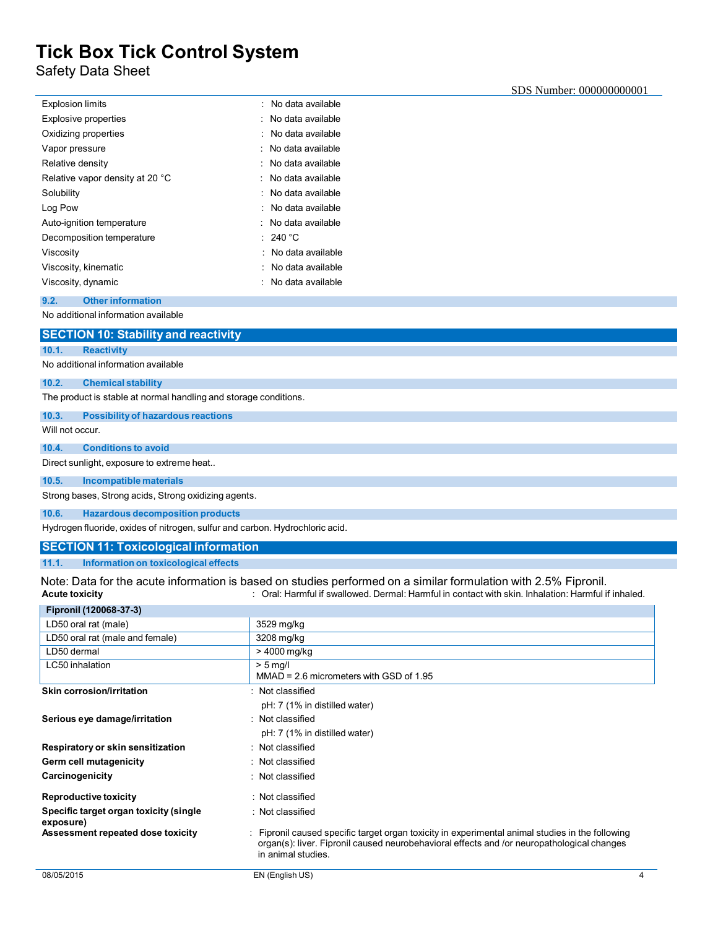Safety Data Sheet

| <b>Explosion limits</b>         | : No data available |
|---------------------------------|---------------------|
| <b>Explosive properties</b>     | : No data available |
| Oxidizing properties            | No data available   |
| Vapor pressure                  | No data available   |
| Relative density                | : No data available |
| Relative vapor density at 20 °C | No data available   |
| Solubility                      | : No data available |
| Log Pow                         | No data available   |
| Auto-ignition temperature       | : No data available |
| Decomposition temperature       | 240 $^{\circ}$ C    |
| Viscosity                       | No data available   |
| Viscosity, kinematic            | : No data available |
| Viscosity, dynamic              | : No data available |
|                                 |                     |

## **9.2. Other information**

No additional information available

|--|

### **10.1. Reactivity**

No additional information available

### **10.2. Chemical stability**

The product is stable at normal handling and storage conditions.

#### **10.3. Possibility of hazardous reactions**

Will not occur.

#### **10.4. Conditions to avoid**

Direct sunlight, exposure to extreme heat..

#### **10.5. Incompatible materials**

Strong bases, Strong acids, Strong oxidizing agents.

#### **10.6. Hazardous decomposition products**

Hydrogen fluoride, oxides of nitrogen, sulfur and carbon. Hydrochloric acid.

#### **SECTION 11: Toxicological information**

**11.1. Information on toxicological effects**

Note: Data for the acute information is based on studies performed on a similar formulation with 2.5% Fipronil.<br>Acute toxicity chate information: Harmful if swallowed. Dermal: Harmful in contact with skin. Inhalation: Harm **Acute toxicity** : Oral: Harmful if swallowed. Dermal: Harmful in contact with skin. Inhalation: Harmful if inhaled.

| Fipronil (120068-37-3)                              |                                                                                                                                                                                                                    |
|-----------------------------------------------------|--------------------------------------------------------------------------------------------------------------------------------------------------------------------------------------------------------------------|
| LD50 oral rat (male)                                | 3529 mg/kg                                                                                                                                                                                                         |
| LD50 oral rat (male and female)                     | 3208 mg/kg                                                                                                                                                                                                         |
| LD50 dermal                                         | > 4000 mg/kg                                                                                                                                                                                                       |
| LC50 inhalation                                     | $> 5$ ma/l<br>$MMAD = 2.6$ micrometers with GSD of 1.95                                                                                                                                                            |
| Skin corrosion/irritation                           | : Not classified                                                                                                                                                                                                   |
|                                                     | pH: 7 (1% in distilled water)                                                                                                                                                                                      |
| Serious eye damage/irritation                       | : Not classified                                                                                                                                                                                                   |
|                                                     | pH: 7 (1% in distilled water)                                                                                                                                                                                      |
| Respiratory or skin sensitization                   | : Not classified                                                                                                                                                                                                   |
| Germ cell mutagenicity                              | : Not classified                                                                                                                                                                                                   |
| Carcinogenicity                                     | : Not classified                                                                                                                                                                                                   |
| <b>Reproductive toxicity</b>                        | : Not classified                                                                                                                                                                                                   |
| Specific target organ toxicity (single<br>exposure) | : Not classified                                                                                                                                                                                                   |
| Assessment repeated dose toxicity                   | Fipronil caused specific target organ toxicity in experimental animal studies in the following<br>organ(s): liver. Fipronil caused neurobehavioral effects and /or neuropathological changes<br>in animal studies. |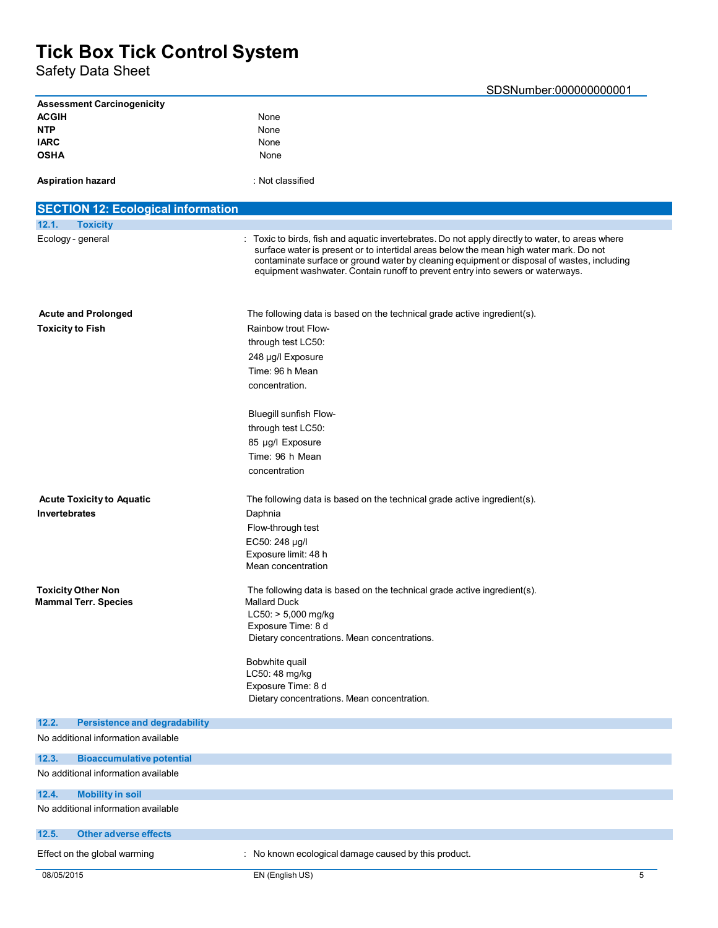Safety Data Sheet

| <b>Assessment Carcinogenicity</b>             |                                                                                                                                                                                                                                                                                                                                                                            |
|-----------------------------------------------|----------------------------------------------------------------------------------------------------------------------------------------------------------------------------------------------------------------------------------------------------------------------------------------------------------------------------------------------------------------------------|
| <b>ACGIH</b>                                  | None                                                                                                                                                                                                                                                                                                                                                                       |
| <b>NTP</b>                                    | None                                                                                                                                                                                                                                                                                                                                                                       |
| <b>IARC</b><br><b>OSHA</b>                    | None<br>None                                                                                                                                                                                                                                                                                                                                                               |
|                                               |                                                                                                                                                                                                                                                                                                                                                                            |
| <b>Aspiration hazard</b>                      | : Not classified                                                                                                                                                                                                                                                                                                                                                           |
| <b>SECTION 12: Ecological information</b>     |                                                                                                                                                                                                                                                                                                                                                                            |
| 12.1.<br><b>Toxicity</b>                      |                                                                                                                                                                                                                                                                                                                                                                            |
| Ecology - general                             | : Toxic to birds, fish and aquatic invertebrates. Do not apply directly to water, to areas where<br>surface water is present or to intertidal areas below the mean high water mark. Do not<br>contaminate surface or ground water by cleaning equipment or disposal of wastes, including<br>equipment washwater. Contain runoff to prevent entry into sewers or waterways. |
| <b>Acute and Prolonged</b>                    | The following data is based on the technical grade active ingredient(s).                                                                                                                                                                                                                                                                                                   |
| <b>Toxicity to Fish</b>                       | Rainbow trout Flow-                                                                                                                                                                                                                                                                                                                                                        |
|                                               | through test LC50:                                                                                                                                                                                                                                                                                                                                                         |
|                                               | 248 µg/l Exposure                                                                                                                                                                                                                                                                                                                                                          |
|                                               | Time: 96 h Mean                                                                                                                                                                                                                                                                                                                                                            |
|                                               | concentration.                                                                                                                                                                                                                                                                                                                                                             |
|                                               | <b>Bluegill sunfish Flow-</b>                                                                                                                                                                                                                                                                                                                                              |
|                                               | through test LC50:                                                                                                                                                                                                                                                                                                                                                         |
|                                               | 85 µg/l Exposure                                                                                                                                                                                                                                                                                                                                                           |
|                                               | Time: 96 h Mean                                                                                                                                                                                                                                                                                                                                                            |
|                                               | concentration                                                                                                                                                                                                                                                                                                                                                              |
| <b>Acute Toxicity to Aquatic</b>              | The following data is based on the technical grade active ingredient(s).                                                                                                                                                                                                                                                                                                   |
| <b>Invertebrates</b>                          | Daphnia                                                                                                                                                                                                                                                                                                                                                                    |
|                                               | Flow-through test                                                                                                                                                                                                                                                                                                                                                          |
|                                               | EC50: 248 µg/l                                                                                                                                                                                                                                                                                                                                                             |
|                                               | Exposure limit: 48 h<br>Mean concentration                                                                                                                                                                                                                                                                                                                                 |
| <b>Toxicity Other Non</b>                     | The following data is based on the technical grade active ingredient(s).                                                                                                                                                                                                                                                                                                   |
| <b>Mammal Terr. Species</b>                   | <b>Mallard Duck</b>                                                                                                                                                                                                                                                                                                                                                        |
|                                               | LC50: > 5,000 mg/kg                                                                                                                                                                                                                                                                                                                                                        |
|                                               | Exposure Time: 8 d<br>Dietary concentrations. Mean concentrations.                                                                                                                                                                                                                                                                                                         |
|                                               |                                                                                                                                                                                                                                                                                                                                                                            |
|                                               | Bobwhite quail                                                                                                                                                                                                                                                                                                                                                             |
|                                               | LC50: 48 mg/kg<br>Exposure Time: 8 d                                                                                                                                                                                                                                                                                                                                       |
|                                               | Dietary concentrations. Mean concentration.                                                                                                                                                                                                                                                                                                                                |
| 12.2.<br><b>Persistence and degradability</b> |                                                                                                                                                                                                                                                                                                                                                                            |
| No additional information available           |                                                                                                                                                                                                                                                                                                                                                                            |
| 12.3.<br><b>Bioaccumulative potential</b>     |                                                                                                                                                                                                                                                                                                                                                                            |
| No additional information available           |                                                                                                                                                                                                                                                                                                                                                                            |
| <b>Mobility in soil</b><br>12.4.              |                                                                                                                                                                                                                                                                                                                                                                            |
| No additional information available           |                                                                                                                                                                                                                                                                                                                                                                            |
| <b>Other adverse effects</b><br>12.5.         |                                                                                                                                                                                                                                                                                                                                                                            |
| Effect on the global warming                  | : No known ecological damage caused by this product.                                                                                                                                                                                                                                                                                                                       |
| 08/05/2015                                    | EN (English US)<br>5                                                                                                                                                                                                                                                                                                                                                       |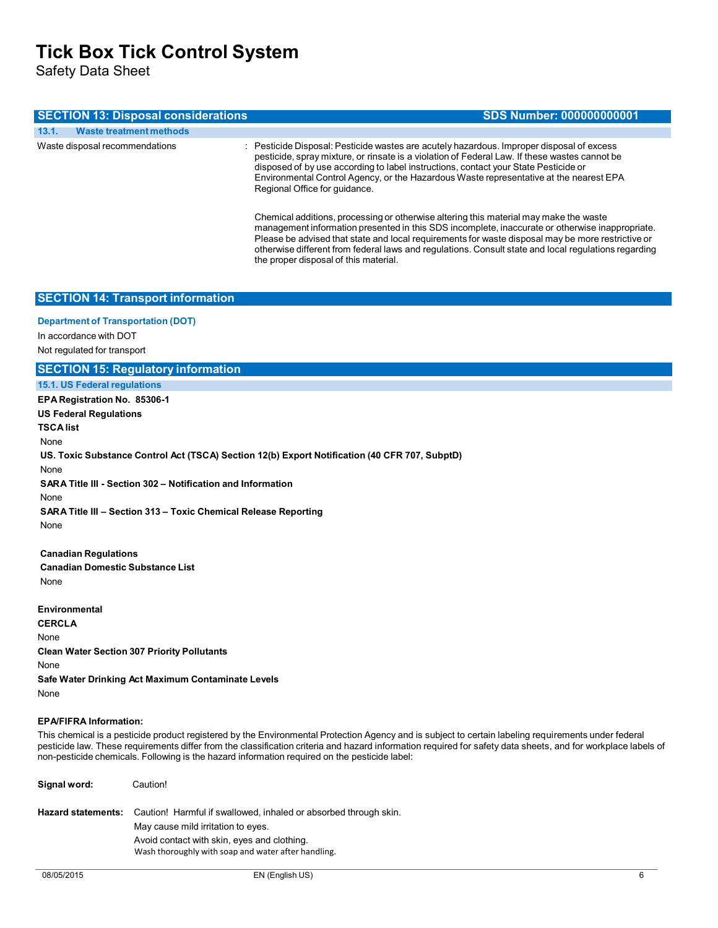Safety Data Sheet

| <b>SECTION 13: Disposal considerations</b> | <b>SDS Number: 000000000001</b>                                                                                                                                                                                                                                                                                                                                                                              |
|--------------------------------------------|--------------------------------------------------------------------------------------------------------------------------------------------------------------------------------------------------------------------------------------------------------------------------------------------------------------------------------------------------------------------------------------------------------------|
| 13.1.<br><b>Waste treatment methods</b>    |                                                                                                                                                                                                                                                                                                                                                                                                              |
| Waste disposal recommendations             | : Pesticide Disposal: Pesticide wastes are acutely hazardous. Improper disposal of excess<br>pesticide, spray mixture, or rinsate is a violation of Federal Law. If these wastes cannot be<br>disposed of by use according to label instructions, contact your State Pesticide or<br>Environmental Control Agency, or the Hazardous Waste representative at the nearest EPA<br>Regional Office for guidance. |
|                                            | Chemical additions, processing or otherwise altering this material may make the waste<br>management information presented in this SDS incomplete, inaccurate or otherwise inappropriate.<br>Please be advised that state and local requirements for waste disposal may be more restrictive or<br>otherwise different from federal laws and regulations. Consult state and local regulations regarding        |

the proper disposal of this material.

### **SECTION 14: Transport information**

#### **Department of Transportation (DOT)**

In accordance with DOT Not regulated for transport

## **SECTION 15: Regulatory information**

**15.1. US Federal regulations**

**EPA Registration No. 85306-1 US Federal Regulations TSCA list** None **US. Toxic Substance Control Act (TSCA) Section 12(b) Export Notification (40 CFR 707, SubptD)** None **SARA Title III - Section 302 – Notification and Information** None **SARA Title III – Section 313 – Toxic Chemical Release Reporting** None **Canadian Regulations**

**Canadian Domestic Substance List** None

**Environmental CERCLA** None **Clean Water Section 307 Priority Pollutants** None **Safe Water Drinking Act Maximum Contaminate Levels** None

### **EPA/FIFRA Information:**

This chemical is a pesticide product registered by the Environmental Protection Agency and is subject to certain labeling requirements under federal pesticide law. These requirements differ from the classification criteria and hazard information required for safety data sheets, and for workplace labels of non-pesticide chemicals. Following is the hazard information required on the pesticide label:

| Signal word:              | Caution!                                                                                                                                                                                                     |
|---------------------------|--------------------------------------------------------------------------------------------------------------------------------------------------------------------------------------------------------------|
| <b>Hazard statements:</b> | Caution! Harmful if swallowed, inhaled or absorbed through skin.<br>May cause mild irritation to eyes.<br>Avoid contact with skin, eyes and clothing.<br>Wash thoroughly with soap and water after handling. |